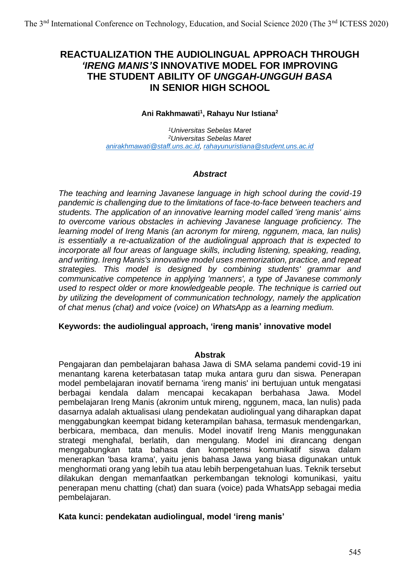# **REACTUALIZATION THE AUDIOLINGUAL APPROACH THROUGH**  *'IRENG MANIS'S* **INNOVATIVE MODEL FOR IMPROVING THE STUDENT ABILITY OF** *UNGGAH-UNGGUH BASA* **IN SENIOR HIGH SCHOOL**

## **Ani Rakhmawati<sup>1</sup> , Rahayu Nur Istiana<sup>2</sup>**

*<sup>1</sup>Universitas Sebelas Maret <sup>2</sup>Universitas Sebelas Maret [anirakhmawati@staff.uns.ac.id,](mailto:anirakhmawati@staff.uns.ac.id) [rahayunuristiana@student.uns.ac.id](mailto:rahayunuristiana@student.uns.ac.id)*

## *Abstract*

*The teaching and learning Javanese language in high school during the covid-19 pandemic is challenging due to the limitations of face-to-face between teachers and students. The application of an innovative learning model called 'ireng manis' aims to overcome various obstacles in achieving Javanese language proficiency. The learning model of Ireng Manis (an acronym for mireng, nggunem, maca, lan nulis) is essentially a re-actualization of the audiolingual approach that is expected to incorporate all four areas of language skills, including listening, speaking, reading, and writing. Ireng Manis's innovative model uses memorization, practice, and repeat strategies. This model is designed by combining students' grammar and communicative competence in applying 'manners', a type of Javanese commonly used to respect older or more knowledgeable people. The technique is carried out by utilizing the development of communication technology, namely the application of chat menus (chat) and voice (voice) on WhatsApp as a learning medium.*

## **Keywords: the audiolingual approach, 'ireng manis' innovative model**

#### **Abstrak**

Pengajaran dan pembelajaran bahasa Jawa di SMA selama pandemi covid-19 ini menantang karena keterbatasan tatap muka antara guru dan siswa. Penerapan model pembelajaran inovatif bernama 'ireng manis' ini bertujuan untuk mengatasi berbagai kendala dalam mencapai kecakapan berbahasa Jawa. Model pembelajaran Ireng Manis (akronim untuk mireng, nggunem, maca, lan nulis) pada dasarnya adalah aktualisasi ulang pendekatan audiolingual yang diharapkan dapat menggabungkan keempat bidang keterampilan bahasa, termasuk mendengarkan, berbicara, membaca, dan menulis. Model inovatif Ireng Manis menggunakan strategi menghafal, berlatih, dan mengulang. Model ini dirancang dengan menggabungkan tata bahasa dan kompetensi komunikatif siswa dalam menerapkan 'basa krama', yaitu jenis bahasa Jawa yang biasa digunakan untuk menghormati orang yang lebih tua atau lebih berpengetahuan luas. Teknik tersebut dilakukan dengan memanfaatkan perkembangan teknologi komunikasi, yaitu penerapan menu chatting (chat) dan suara (voice) pada WhatsApp sebagai media pembelajaran.

## **Kata kunci: pendekatan audiolingual, model 'ireng manis'**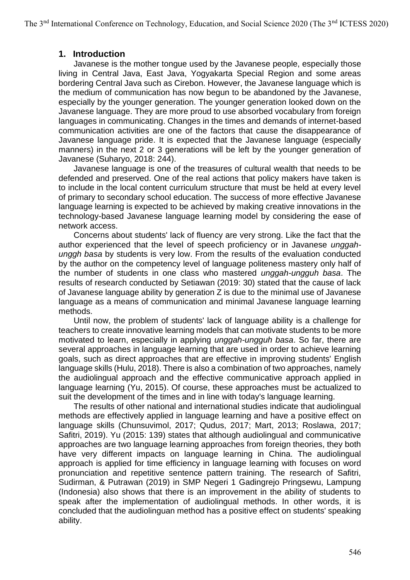## **1. Introduction**

Javanese is the mother tongue used by the Javanese people, especially those living in Central Java, East Java, Yogyakarta Special Region and some areas bordering Central Java such as Cirebon. However, the Javanese language which is the medium of communication has now begun to be abandoned by the Javanese, especially by the younger generation. The younger generation looked down on the Javanese language. They are more proud to use absorbed vocabulary from foreign languages in communicating. Changes in the times and demands of internet-based communication activities are one of the factors that cause the disappearance of Javanese language pride. It is expected that the Javanese language (especially manners) in the next 2 or 3 generations will be left by the younger generation of Javanese (Suharyo, 2018: 244).

Javanese language is one of the treasures of cultural wealth that needs to be defended and preserved. One of the real actions that policy makers have taken is to include in the local content curriculum structure that must be held at every level of primary to secondary school education. The success of more effective Javanese language learning is expected to be achieved by making creative innovations in the technology-based Javanese language learning model by considering the ease of network access.

Concerns about students' lack of fluency are very strong. Like the fact that the author experienced that the level of speech proficiency or in Javanese *unggahunggh basa* by students is very low. From the results of the evaluation conducted by the author on the competency level of language politeness mastery only half of the number of students in one class who mastered *unggah-ungguh basa*. The results of research conducted by Setiawan (2019: 30) stated that the cause of lack of Javanese language ability by generation Z is due to the minimal use of Javanese language as a means of communication and minimal Javanese language learning methods.

Until now, the problem of students' lack of language ability is a challenge for teachers to create innovative learning models that can motivate students to be more motivated to learn, especially in applying *unggah-ungguh basa*. So far, there are several approaches in language learning that are used in order to achieve learning goals, such as direct approaches that are effective in improving students' English language skills (Hulu, 2018). There is also a combination of two approaches, namely the audiolingual approach and the effective communicative approach applied in language learning (Yu, 2015). Of course, these approaches must be actualized to suit the development of the times and in line with today's language learning.

The results of other national and international studies indicate that audiolingual methods are effectively applied in language learning and have a positive effect on language skills (Chunsuvimol, 2017; Qudus, 2017; Mart, 2013; Roslawa, 2017; Safitri, 2019). Yu (2015: 139) states that although audiolingual and communicative approaches are two language learning approaches from foreign theories, they both have very different impacts on language learning in China. The audiolingual approach is applied for time efficiency in language learning with focuses on word pronunciation and repetitive sentence pattern training. The research of Safitri, Sudirman, & Putrawan (2019) in SMP Negeri 1 Gadingrejo Pringsewu, Lampung (Indonesia) also shows that there is an improvement in the ability of students to speak after the implementation of audiolingual methods. In other words, it is concluded that the audiolinguan method has a positive effect on students' speaking ability.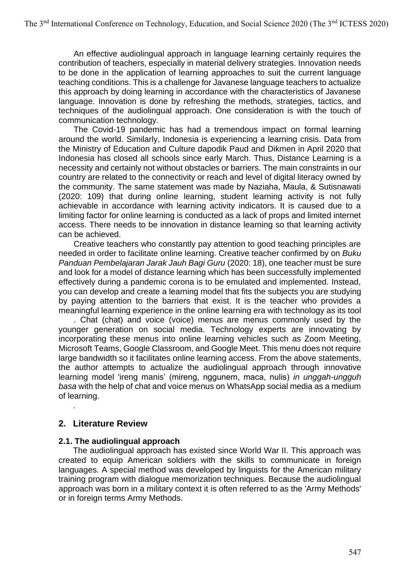An effective audiolingual approach in language learning certainly requires the contribution of teachers, especially in material delivery strategies. Innovation needs to be done in the application of learning approaches to suit the current language teaching conditions. This is a challenge for Javanese language teachers to actualize this approach by doing learning in accordance with the characteristics of Javanese language. Innovation is done by refreshing the methods, strategies, tactics, and techniques of the audiolingual approach. One consideration is with the touch of communication technology.

The Covid-19 pandemic has had a tremendous impact on formal learning around the world. Similarly, Indonesia is experiencing a learning crisis. Data from the Ministry of Education and Culture dapodik Paud and Dikmen in April 2020 that Indonesia has closed all schools since early March. Thus, Distance Learning is a necessity and certainly not without obstacles or barriers. The main constraints in our country are related to the connectivity or reach and level of digital literacy owned by the community. The same statement was made by Naziaha, Maula, & Sutisnawati (2020: 109) that during online learning, student learning activity is not fully achievable in accordance with learning activity indicators. It is caused due to a limiting factor for online learning is conducted as a lack of props and limited internet access. There needs to be innovation in distance learning so that learning activity can be achieved.

Creative teachers who constantly pay attention to good teaching principles are needed in order to facilitate online learning. Creative teacher confirmed by on *Buku Panduan Pembelajaran Jarak Jauh Bagi Guru* (2020: 18), one teacher must be sure and look for a model of distance learning which has been successfully implemented effectively during a pandemic corona is to be emulated and implemented. Instead, you can develop and create a learning model that fits the subjects you are studying by paying attention to the barriers that exist. It is the teacher who provides a meaningful learning experience in the online learning era with technology as its tool

. Chat (chat) and voice (voice) menus are menus commonly used by the younger generation on social media. Technology experts are innovating by incorporating these menus into online learning vehicles such as Zoom Meeting, Microsoft Teams, Google Classroom, and Google Meet. This menu does not require large bandwidth so it facilitates online learning access. From the above statements, the author attempts to actualize the audiolingual approach through innovative learning model 'ireng manis' (mireng, nggunem, maca, nulis) *in unggah-ungguh basa* with the help of chat and voice menus on WhatsApp social media as a medium of learning.

## **2. Literature Review**

.

## **2.1. The audiolingual approach**

The audiolingual approach has existed since World War II. This approach was created to equip American soldiers with the skills to communicate in foreign languages. A special method was developed by linguists for the American military training program with dialogue memorization techniques. Because the audiolingual approach was born in a military context it is often referred to as the 'Army Methods' or in foreign terms Army Methods.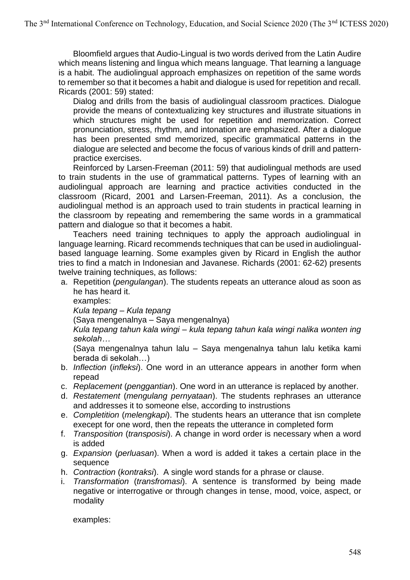Bloomfield argues that Audio-Lingual is two words derived from the Latin Audire which means listening and lingua which means language. That learning a language is a habit. The audiolingual approach emphasizes on repetition of the same words to remember so that it becomes a habit and dialogue is used for repetition and recall. Ricards (2001: 59) stated:

Dialog and drills from the basis of audiolingual classroom practices. Dialogue provide the means of contextualizing key structures and illustrate situations in which structures might be used for repetition and memorization. Correct pronunciation, stress, rhythm, and intonation are emphasized. After a dialogue has been presented smd memorized, specific grammatical patterns in the dialogue are selected and become the focus of various kinds of drill and patternpractice exercises.

Reinforced by Larsen-Freeman (2011: 59) that audiolingual methods are used to train students in the use of grammatical patterns. Types of learning with an audiolingual approach are learning and practice activities conducted in the classroom (Ricard, 2001 and Larsen-Freeman, 2011). As a conclusion, the audiolingual method is an approach used to train students in practical learning in the classroom by repeating and remembering the same words in a grammatical pattern and dialogue so that it becomes a habit.

Teachers need training techniques to apply the approach audiolingual in language learning. Ricard recommends techniques that can be used in audiolingualbased language learning. Some examples given by Ricard in English the author tries to find a match in Indonesian and Javanese. Richards (2001: 62-62) presents twelve training techniques, as follows:

a. Repetition (*pengulangan*). The students repeats an utterance aloud as soon as he has heard it.

examples:

*Kula tepang – Kula tepang*

(Saya mengenalnya – Saya mengenalnya)

## *Kula tepang tahun kala wingi – kula tepang tahun kala wingi nalika wonten ing sekolah…*

(Saya mengenalnya tahun lalu – Saya mengenalnya tahun lalu ketika kami berada di sekolah…)

- b. *Inflection* (*infleksi*). One word in an utterance appears in another form when repead
- c. *Replacement* (*penggantian*). One word in an utterance is replaced by another.
- d. *Restatement* (*mengulang pernyataan*). The students rephrases an utterance and addresses it to someone else, according to instrustions
- e. *Completition* (*melengkapi*). The students hears an utterance that isn complete execept for one word, then the repeats the utterance in completed form
- f. *Transposition* (*transposisi*). A change in word order is necessary when a word is added
- g. *Expansion* (*perluasan*). When a word is added it takes a certain place in the sequence
- h. *Contraction* (*kontraksi*). A single word stands for a phrase or clause.
- i. *Transformation* (*transfromasi*). A sentence is transformed by being made negative or interrogative or through changes in tense, mood, voice, aspect, or modality

examples: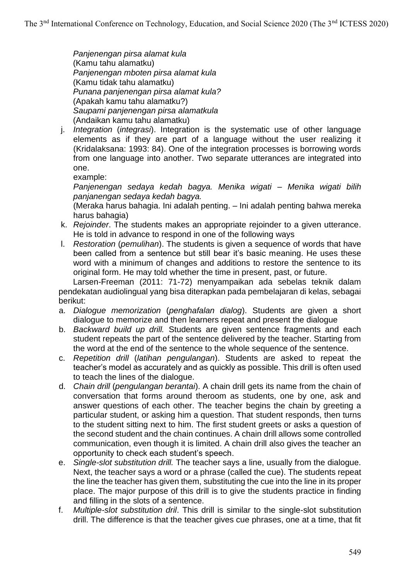*Panjenengan pirsa alamat kula* (Kamu tahu alamatku) *Panjenengan mboten pirsa alamat kula* (Kamu tidak tahu alamatku) *Punana panjenengan pirsa alamat kula?* (Apakah kamu tahu alamatku?) *Saupami panjenengan pirsa alamatkula* (Andaikan kamu tahu alamatku)

j. *Integration* (*integrasi*). Integration is the systematic use of other language elements as if they are part of a language without the user realizing it (Kridalaksana: 1993: 84). One of the integration processes is borrowing words from one language into another. Two separate utterances are integrated into one.

example:

*Panjenengan sedaya kedah bagya. Menika wigati – Menika wigati bilih panjanengan sedaya kedah bagya.*

(Meraka harus bahagia. Ini adalah penting. – Ini adalah penting bahwa mereka harus bahagia)

- k. *Rejoinder*. The students makes an appropriate rejoinder to a given utterance. He is told in advance to respond in one of the following ways
- l. *Restoration* (*pemulihan*). The students is given a sequence of words that have been called from a sentence but still bear it's basic meaning. He uses these word with a minimum of changes and additions to restore the sentence to its original form. He may told whether the time in present, past, or future.

Larsen-Freeman (2011: 71-72) menyampaikan ada sebelas teknik dalam pendekatan audiolingual yang bisa diterapkan pada pembelajaran di kelas, sebagai berikut:

- a. *Dialogue memorization* (*penghafalan dialog*). Students are given a short dialogue to memorize and then learners repeat and present the dialogue
- b. *Backward build up drill.* Students are given sentence fragments and each student repeats the part of the sentence delivered by the teacher. Starting from the word at the end of the sentence to the whole sequence of the sentence.
- c. *Repetition drill* (*latihan pengulangan*). Students are asked to repeat the teacher's model as accurately and as quickly as possible. This drill is often used to teach the lines of the dialogue.
- d. *Chain drill* (*pengulangan berantai*). A chain drill gets its name from the chain of conversation that forms around theroom as students, one by one, ask and answer questions of each other. The teacher begins the chain by greeting a particular student, or asking him a question. That student responds, then turns to the student sitting next to him. The first student greets or asks a question of the second student and the chain continues. A chain drill allows some controlled communication, even though it is limited. A chain drill also gives the teacher an opportunity to check each student's speech.
- e. *Single-slot substitution drill.* The teacher says a line, usually from the dialogue. Next, the teacher says a word or a phrase (called the cue). The students repeat the line the teacher has given them, substituting the cue into the line in its proper place. The major purpose of this drill is to give the students practice in finding and filling in the slots of a sentence.
- f. *Multiple-slot substitution dril*. This drill is similar to the single-slot substitution drill. The difference is that the teacher gives cue phrases, one at a time, that fit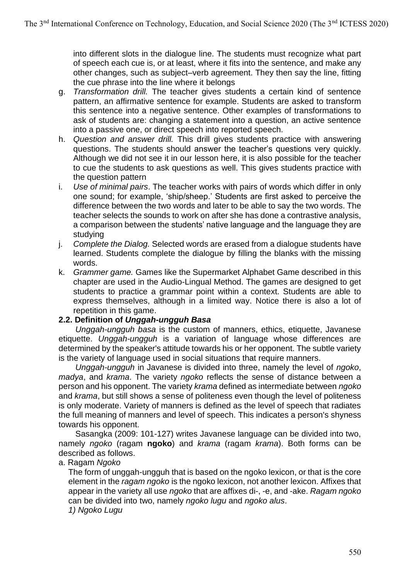into different slots in the dialogue line. The students must recognize what part of speech each cue is, or at least, where it fits into the sentence, and make any other changes, such as subject–verb agreement. They then say the line, fitting the cue phrase into the line where it belongs

- g. *Transformation drill.* The teacher gives students a certain kind of sentence pattern, an affirmative sentence for example. Students are asked to transform this sentence into a negative sentence. Other examples of transformations to ask of students are: changing a statement into a question, an active sentence into a passive one, or direct speech into reported speech.
- h. *Question and answer drill.* This drill gives students practice with answering questions. The students should answer the teacher's questions very quickly. Although we did not see it in our lesson here, it is also possible for the teacher to cue the students to ask questions as well. This gives students practice with the question pattern
- i. *Use of minimal pairs*. The teacher works with pairs of words which differ in only one sound; for example, 'ship/sheep.' Students are first asked to perceive the difference between the two words and later to be able to say the two words. The teacher selects the sounds to work on after she has done a contrastive analysis, a comparison between the students' native language and the language they are studying
- j. *Complete the Dialog.* Selected words are erased from a dialogue students have learned. Students complete the dialogue by filling the blanks with the missing words.
- k. *Grammer game.* Games like the Supermarket Alphabet Game described in this chapter are used in the Audio-Lingual Method. The games are designed to get students to practice a grammar point within a context. Students are able to express themselves, although in a limited way. Notice there is also a lot of repetition in this game.

## **2.2. Definition of** *Unggah-ungguh Basa*

*Unggah-ungguh basa* is the custom of manners, ethics, etiquette, Javanese etiquette. *Unggah-ungguh* is a variation of language whose differences are determined by the speaker's attitude towards his or her opponent. The subtle variety is the variety of language used in social situations that require manners.

*Unggah-ungguh* in Javanese is divided into three, namely the level of *ngoko*, *madya*, and *krama*. The variety *ngoko* reflects the sense of distance between a person and his opponent. The variety *krama* defined as intermediate between *ngoko* and *krama*, but still shows a sense of politeness even though the level of politeness is only moderate. Variety of manners is defined as the level of speech that radiates the full meaning of manners and level of speech. This indicates a person's shyness towards his opponent.

Sasangka (2009: 101-127) writes Javanese language can be divided into two, namely *ngoko* (ragam **ngoko**) and *krama* (ragam *krama*). Both forms can be described as follows.

a. Ragam *Ngoko*

The form of unggah-ungguh that is based on the ngoko lexicon, or that is the core element in the *ragam ngoko* is the ngoko lexicon, not another lexicon. Affixes that appear in the variety all use *ngoko* that are affixes di-, -e, and -ake. *Ragam ngoko* can be divided into two, namely *ngoko lugu* and *ngoko alus*. *1) Ngoko Lugu*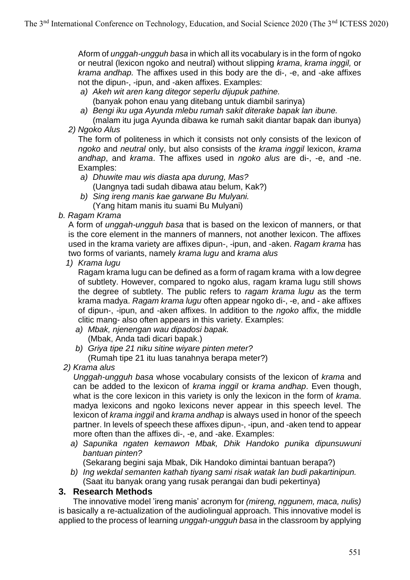Aform of *unggah-ungguh basa* in which all its vocabulary is in the form of ngoko or neutral (lexicon ngoko and neutral) without slipping *krama*, *krama inggil,* or *krama andhap.* The affixes used in this body are the di-, -e, and -ake affixes not the dipun-, -ipun, and -aken affixes. Examples:

- *a) Akeh wit aren kang ditegor seperlu dijupuk pathine.*
	- (banyak pohon enau yang ditebang untuk diambil sarinya)
- *a) Bengi iku uga Ayunda mlebu rumah sakit diterake bapak lan ibune.*
- (malam itu juga Ayunda dibawa ke rumah sakit diantar bapak dan ibunya) *2) Ngoko Alus*

The form of politeness in which it consists not only consists of the lexicon of *ngoko* and *neutral* only, but also consists of the *krama inggil* lexicon, *krama andhap*, and *krama*. The affixes used in *ngoko alus* are di-, -e, and -ne. Examples:

- *a) Dhuwite mau wis diasta apa durung, Mas?* (Uangnya tadi sudah dibawa atau belum, Kak?)
- *b) Sing ireng manis kae garwane Bu Mulyani.* (Yang hitam manis itu suami Bu Mulyani)
- *b. Ragam Krama*

A form of *unggah-ungguh basa* that is based on the lexicon of manners, or that is the core element in the manners of manners, not another lexicon. The affixes used in the krama variety are affixes dipun-, -ipun, and -aken. *Ragam krama* has two forms of variants, namely *krama lugu* and *krama alus*

*1) Krama lugu*

Ragam krama lugu can be defined as a form of ragam krama with a low degree of subtlety. However, compared to ngoko alus, ragam krama lugu still shows the degree of subtlety. The public refers to *ragam krama lugu* as the term krama madya. *Ragam krama lugu* often appear ngoko di-, -e, and - ake affixes of dipun-, -ipun, and -aken affixes. In addition to the *ngoko* affix, the middle clitic mang- also often appears in this variety. Examples:

- *a) Mbak, njenengan wau dipadosi bapak.* (Mbak, Anda tadi dicari bapak.)
- *b) Griya tipe 21 niku sitine wiyare pinten meter?* (Rumah tipe 21 itu luas tanahnya berapa meter?)
- *2) Krama alus*

*Unggah-ungguh basa* whose vocabulary consists of the lexicon of *krama* and can be added to the lexicon of *krama inggil* or *krama andhap*. Even though, what is the core lexicon in this variety is only the lexicon in the form of *krama*. madya lexicons and ngoko lexicons never appear in this speech level. The lexicon of *krama inggil* and *krama andhap* is always used in honor of the speech partner. In levels of speech these affixes dipun-, -ipun, and -aken tend to appear more often than the affixes di-, -e, and -ake. Examples:

*a) Sapunika ngaten kemawon Mbak, Dhik Handoko punika dipunsuwuni bantuan pinten?*

(Sekarang begini saja Mbak, Dik Handoko dimintai bantuan berapa?)

*b) Ing wekdal semanten kathah tiyang sami risak watak lan budi pakartinipun.* (Saat itu banyak orang yang rusak perangai dan budi pekertinya)

## **3. Research Methods**

The innovative model 'ireng manis' acronym for *(mireng, nggunem, maca, nulis)* is basically a re-actualization of the audiolingual approach. This innovative model is applied to the process of learning *unggah-ungguh basa* in the classroom by applying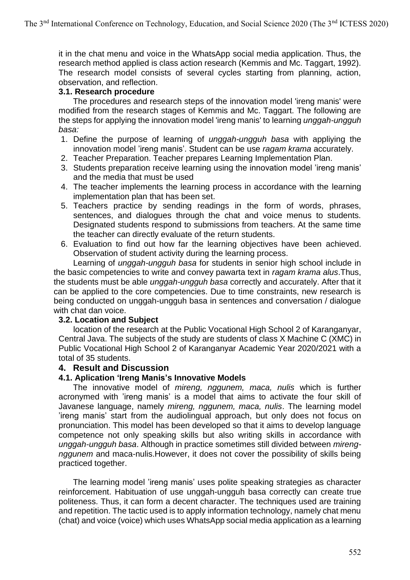it in the chat menu and voice in the WhatsApp social media application. Thus, the research method applied is class action research (Kemmis and Mc. Taggart, 1992). The research model consists of several cycles starting from planning, action, observation, and reflection.

## **3.1. Research procedure**

The procedures and research steps of the innovation model 'ireng manis' were modified from the research stages of Kemmis and Mc. Taggart. The following are the steps for applying the innovation model 'ireng manis' to learning *unggah-ungguh basa:*

- 1. Define the purpose of learning of *unggah-ungguh basa* with appliying the innovation model 'ireng manis'. Student can be use *ragam krama* accurately.
- 2. Teacher Preparation. Teacher prepares Learning Implementation Plan.
- 3. Students preparation receive learning using the innovation model 'ireng manis' and the media that must be used
- 4. The teacher implements the learning process in accordance with the learning implementation plan that has been set.
- 5. Teachers practice by sending readings in the form of words, phrases, sentences, and dialogues through the chat and voice menus to students. Designated students respond to submissions from teachers. At the same time the teacher can directly evaluate of the return students.
- 6. Evaluation to find out how far the learning objectives have been achieved. Observation of student activity during the learning process.

Learning of *unggah-ungguh basa* for students in senior high school include in the basic competencies to write and convey pawarta text in *ragam krama alus*.Thus, the students must be able *unggah-ungguh basa* correctly and accurately. After that it can be applied to the core competencies. Due to time constraints, new research is being conducted on unggah-ungguh basa in sentences and conversation / dialogue with chat dan voice.

#### **3.2. Location and Subject**

location of the research at the Public Vocational High School 2 of Karanganyar, Central Java. The subjects of the study are students of class X Machine C (XMC) in Public Vocational High School 2 of Karanganyar Academic Year 2020/2021 with a total of 35 students.

#### **4. Result and Discussion**

#### **4.1. Aplication 'Ireng Manis's Innovative Models**

The innovative model of *mireng, nggunem, maca, nulis* which is further acronymed with 'ireng manis' is a model that aims to activate the four skill of Javanese language, namely *mireng, nggunem, maca, nulis*. The learning model 'ireng manis' start from the audiolingual approach, but only does not focus on pronunciation. This model has been developed so that it aims to develop language competence not only speaking skills but also writing skills in accordance with *unggah-ungguh basa*. Although in practice sometimes still divided between *mirengnggunem* and maca-nulis.However, it does not cover the possibility of skills being practiced together.

The learning model 'ireng manis' uses polite speaking strategies as character reinforcement. Habituation of use unggah-ungguh basa correctly can create true politeness. Thus, it can form a decent character. The techniques used are training and repetition. The tactic used is to apply information technology, namely chat menu (chat) and voice (voice) which uses WhatsApp social media application as a learning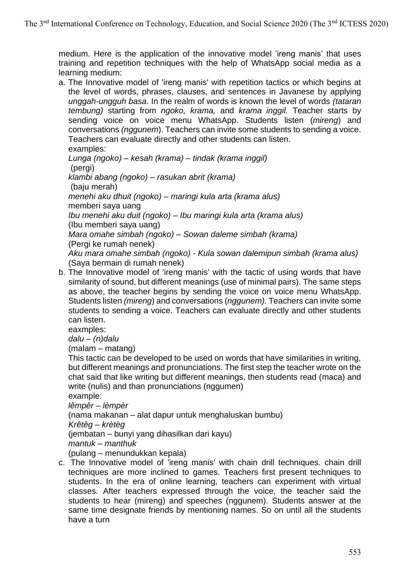medium. Here is the application of the innovative model 'ireng manis' that uses training and repetition techniques with the help of WhatsApp social media as a learning medium:

a. The Innovative model of 'ireng manis' with repetition tactics or which begins at the level of words, phrases, clauses, and sentences in Javanese by applying *unggah-ungguh basa*. In the realm of words is known the level of words *(tataran tembung)* starting from *ngoko, krama,* and *krama inggil.* Teacher starts by sending voice on voice menu WhatsApp. Students listen (*mireng*) and conversations *(nggunem*). Teachers can invite some students to sending a voice. Teachers can evaluate directly and other students can listen.

examples: *Lunga (ngoko) – kesah (krama) – tindak (krama inggil)* (pergi) *klambi abang (ngoko) – rasukan abrit (krama)*  (baju merah) *menehi aku dhuit (ngoko) – maringi kula arta (krama alus)* memberi saya uang *Ibu menehi aku duit (ngoko) – Ibu maringi kula arta (krama alus)* (Ibu memberi saya uang) *Mara omahe simbah (ngoko) – Sowan daleme simbah (krama)* (Pergi ke rumah nenek) *Aku mara omahe simbah (ngoko) - Kula sowan dalemipun simbah (krama alus)* (Saya bermain di rumah nenek)

b. The Innovative model of 'ireng manis' with the tactic of using words that have similarity of sound, but different meanings (use of minimal pairs). The same steps as above, the teacher begins by sending the voice on voice menu WhatsApp. Students listen *(mireng*) and conversations (*nggunem).* Teachers can invite some students to sending a voice. Teachers can evaluate directly and other students can listen.

eaxmples:

*dalu – (n)dalu*

(malam – matang)

This tactic can be developed to be used on words that have similarities in writing, but different meanings and pronunciations. The first step the teacher wrote on the chat said that like writing but different meanings, then students read (maca) and write (nulis) and than pronunciations (nggumen)

example:

*lêmpêr – lèmpèr*

(nama makanan – alat dapur untuk menghaluskan bumbu)

*Krêtêg – krètèg*

(jembatan – bunyi yang dihasilkan dari kayu)

*mantuk – manthuk*

(pulang – menundukkan kepala)

c. The Innovative model of 'ireng manis' with chain drill techniques. chain drill techniques are more inclined to games. Teachers first present techniques to students. In the era of online learning, teachers can experiment with virtual classes. After teachers expressed through the voice, the teacher said the students to hear (mireng) and speeches (nggunem). Students answer at the same time designate friends by mentioning names. So on until all the students have a turn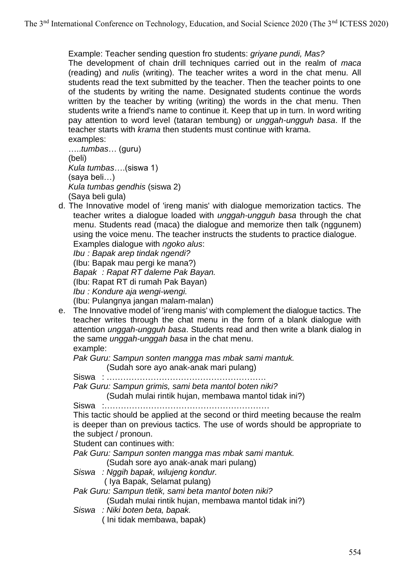Example: Teacher sending question fro students: *griyane pundi, Mas?* The development of chain drill techniques carried out in the realm of *maca*  (reading) and *nulis* (writing). The teacher writes a word in the chat menu. All students read the text submitted by the teacher. Then the teacher points to one of the students by writing the name. Designated students continue the words written by the teacher by writing (writing) the words in the chat menu. Then students write a friend's name to continue it. Keep that up in turn. In word writing pay attention to word level (tataran tembung) or *unggah-ungguh basa*. If the teacher starts with *krama* then students must continue with krama. examples:

…..*tumbas*… (guru) (beli) *Kula tumbas*….(siswa 1) (saya beli…) *Kula tumbas gendhis* (siswa 2) (Saya beli gula)

d. The Innovative model of 'ireng manis' with dialogue memorization tactics. The teacher writes a dialogue loaded with *unggah-ungguh basa* through the chat menu. Students read (maca) the dialogue and memorize then talk (nggunem) using the voice menu. The teacher instructs the students to practice dialogue.

Examples dialogue with *ngoko alus*:

*Ibu : Bapak arep tindak ngendi?*

(Ibu: Bapak mau pergi ke mana?)

*Bapak : Rapat RT daleme Pak Bayan.*

(Ibu: Rapat RT di rumah Pak Bayan)

*Ibu : Kondure aja wengi-wengi.*

(Ibu: Pulangnya jangan malam-malan)

e. The Innovative model of 'ireng manis' with complement the dialogue tactics. The teacher writes through the chat menu in the form of a blank dialogue with attention *unggah-ungguh basa*. Students read and then write a blank dialog in the same *unggah-unggah basa* in the chat menu. example:

*Pak Guru: Sampun sonten mangga mas mbak sami mantuk.*

(Sudah sore ayo anak-anak mari pulang)

Siswa : ………………………………………………….

*Pak Guru: Sampun grimis, sami beta mantol boten niki?*

(Sudah mulai rintik hujan, membawa mantol tidak ini?)

Siswa :……………………………………………………

This tactic should be applied at the second or third meeting because the realm is deeper than on previous tactics. The use of words should be appropriate to the subject / pronoun.

Student can continues with:

*Pak Guru: Sampun sonten mangga mas mbak sami mantuk.*

(Sudah sore ayo anak-anak mari pulang)

*Siswa : Nggih bapak, wilujeng kondur.* ( Iya Bapak, Selamat pulang)

*Pak Guru: Sampun tletik, sami beta mantol boten niki?*

(Sudah mulai rintik hujan, membawa mantol tidak ini?)

*Siswa : Niki boten beta, bapak.* 

( Ini tidak membawa, bapak)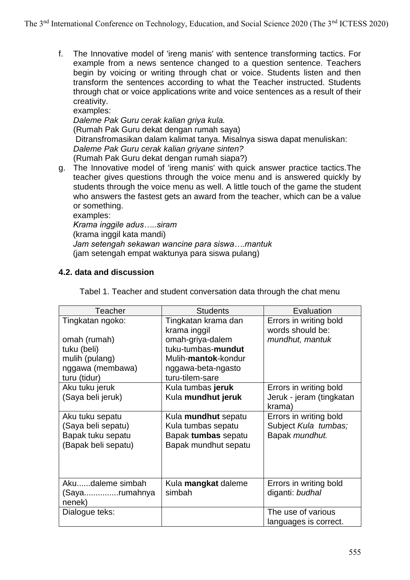f. The Innovative model of 'ireng manis' with sentence transforming tactics. For example from a news sentence changed to a question sentence. Teachers begin by voicing or writing through chat or voice. Students listen and then transform the sentences according to what the Teacher instructed. Students through chat or voice applications write and voice sentences as a result of their creativity.

examples: *Daleme Pak Guru cerak kalian griya kula.*  (Rumah Pak Guru dekat dengan rumah saya) Ditransfromasikan dalam kalimat tanya. Misalnya siswa dapat menuliskan: *Daleme Pak Guru cerak kalian griyane sinten?* (Rumah Pak Guru dekat dengan rumah siapa?)

g. The Innovative model of 'ireng manis' with quick answer practice tactics.The teacher gives questions through the voice menu and is answered quickly by students through the voice menu as well. A little touch of the game the student who answers the fastest gets an award from the teacher, which can be a value or something.

examples:

*Krama inggile adus…..siram* (krama inggil kata mandi) *Jam setengah sekawan wancine para siswa….mantuk* (jam setengah empat waktunya para siswa pulang)

## **4.2. data and discussion**

| <b>Teacher</b>      | <b>Students</b>                     | Evaluation                                 |  |  |
|---------------------|-------------------------------------|--------------------------------------------|--|--|
| Tingkatan ngoko:    | Tingkatan krama dan<br>krama inggil | Errors in writing bold<br>words should be: |  |  |
| omah (rumah)        | omah-griya-dalem                    | mundhut, mantuk                            |  |  |
| tuku (beli)         | tuku-tumbas-mundut                  |                                            |  |  |
| mulih (pulang)      | Mulih-mantok-kondur                 |                                            |  |  |
| nggawa (membawa)    | nggawa-beta-ngasto                  |                                            |  |  |
| turu (tidur)        | turu-tilem-sare                     |                                            |  |  |
| Aku tuku jeruk      | Kula tumbas jeruk                   | Errors in writing bold                     |  |  |
| (Saya beli jeruk)   | Kula mundhut jeruk                  | Jeruk - jeram (tingkatan                   |  |  |
|                     |                                     | krama)                                     |  |  |
| Aku tuku sepatu     | Kula mundhut sepatu                 | Errors in writing bold                     |  |  |
| (Saya beli sepatu)  | Kula tumbas sepatu                  | Subject Kula tumbas;                       |  |  |
| Bapak tuku sepatu   | Bapak tumbas sepatu                 | Bapak mundhut.                             |  |  |
| (Bapak beli sepatu) | Bapak mundhut sepatu                |                                            |  |  |
|                     |                                     |                                            |  |  |
|                     |                                     |                                            |  |  |
|                     |                                     |                                            |  |  |
| Akudaleme simbah    | Kula mangkat daleme                 | Errors in writing bold                     |  |  |
| (Sayarumahnya       | simbah                              | diganti: budhal                            |  |  |
| nenek)              |                                     |                                            |  |  |
| Dialogue teks:      |                                     | The use of various                         |  |  |

Tabel 1. Teacher and student conversation data through the chat menu

languages is correct.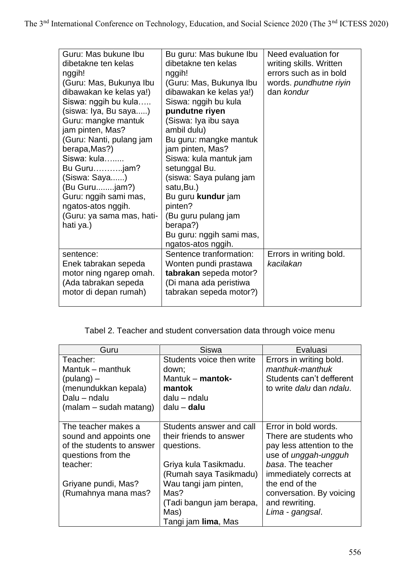| Guru: Mas bukune Ibu<br>dibetakne ten kelas<br>nggih!<br>(Guru: Mas, Bukunya Ibu<br>dibawakan ke kelas ya!)<br>Siswa: nggih bu kula<br>(siswa: Iya, Bu saya)<br>Guru: mangke mantuk<br>jam pinten, Mas?<br>(Guru: Nanti, pulang jam<br>berapa, Mas?)<br>Siswa: kula<br>Bu Gurujam?<br>(Siswa: Saya)<br>(Bu Gurujam?)<br>Guru: nggih sami mas,<br>ngatos-atos nggih.<br>(Guru: ya sama mas, hati-<br>hati ya.) | Bu guru: Mas bukune Ibu<br>dibetakne ten kelas<br>nggih!<br>(Guru: Mas, Bukunya Ibu<br>dibawakan ke kelas ya!)<br>Siswa: nggih bu kula<br>pundutne riyen<br>(Siswa: Iya ibu saya<br>ambil dulu)<br>Bu guru: mangke mantuk<br>jam pinten, Mas?<br>Siswa: kula mantuk jam<br>setunggal Bu.<br>(siswa: Saya pulang jam<br>satu, Bu.)<br>Bu guru kundur jam<br>pinten?<br>(Bu guru pulang jam<br>berapa?)<br>Bu guru: nggih sami mas,<br>ngatos-atos nggih. | Need evaluation for<br>writing skills. Written<br>errors such as in bold<br>words. pundhutne riyin<br>dan kondur |
|---------------------------------------------------------------------------------------------------------------------------------------------------------------------------------------------------------------------------------------------------------------------------------------------------------------------------------------------------------------------------------------------------------------|---------------------------------------------------------------------------------------------------------------------------------------------------------------------------------------------------------------------------------------------------------------------------------------------------------------------------------------------------------------------------------------------------------------------------------------------------------|------------------------------------------------------------------------------------------------------------------|
| sentence:<br>Enek tabrakan sepeda<br>motor ning ngarep omah.<br>(Ada tabrakan sepeda<br>motor di depan rumah)                                                                                                                                                                                                                                                                                                 | Sentence tranformation:<br>Wonten pundi prastawa<br>tabrakan sepeda motor?<br>(Di mana ada peristiwa<br>tabrakan sepeda motor?)                                                                                                                                                                                                                                                                                                                         | Errors in writing bold.<br>kacilakan                                                                             |

# Tabel 2. Teacher and student conversation data through voice menu

| Guru                      | <b>Siswa</b>              | Evaluasi                                |
|---------------------------|---------------------------|-----------------------------------------|
| Teacher:                  | Students voice then write | Errors in writing bold.                 |
| Mantuk – manthuk          | down;                     | manthuk-manthuk                         |
| $(pulang)$ –              | Mantuk – $m$ antok-       | Students can't defferent                |
| (menundukkan kepala)      | mantok                    | to write <i>dalu</i> dan <i>ndalu</i> . |
| Dalu - ndalu              | dalu – ndalu              |                                         |
| (malam – sudah matang)    | dalu – <b>dalu</b>        |                                         |
|                           |                           |                                         |
| The teacher makes a       | Students answer and call  | Error in bold words.                    |
| sound and appoints one    | their friends to answer   | There are students who                  |
| of the students to answer | questions.                | pay less attention to the               |
| questions from the        |                           | use of <i>unggah-ungguh</i>             |
| teacher:                  | Griya kula Tasikmadu.     | basa. The teacher                       |
|                           | (Rumah saya Tasikmadu)    | immediately corrects at                 |
| Griyane pundi, Mas?       | Wau tangi jam pinten,     | the end of the                          |
| (Rumahnya mana mas?       | Mas?                      | conversation. By voicing                |
|                           | (Tadi bangun jam berapa,  | and rewriting.                          |
|                           | Mas)                      | Lima - gangsal.                         |
|                           | Tangi jam lima, Mas       |                                         |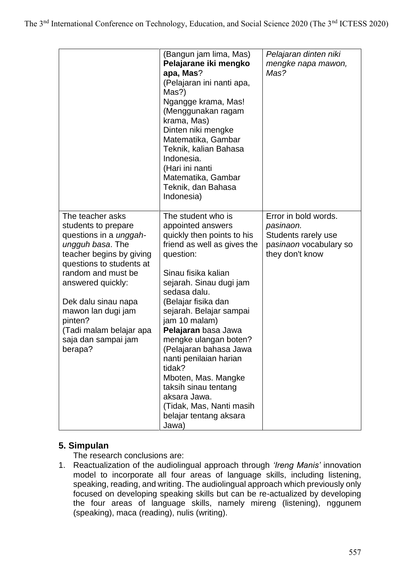|                                                                                                                                                                                                                                                                                                                      | (Bangun jam lima, Mas)<br>Pelajarane iki mengko<br>apa, Mas?<br>(Pelajaran ini nanti apa,<br>Mas?)<br>Ngangge krama, Mas!<br>(Menggunakan ragam<br>krama, Mas)<br>Dinten niki mengke<br>Matematika, Gambar<br>Teknik, kalian Bahasa<br>Indonesia.<br>(Hari ini nanti<br>Matematika, Gambar<br>Teknik, dan Bahasa<br>Indonesia)                                                                                                                                                                     | Pelajaran dinten niki<br>mengke napa mawon,<br>Mas?                                                   |
|----------------------------------------------------------------------------------------------------------------------------------------------------------------------------------------------------------------------------------------------------------------------------------------------------------------------|----------------------------------------------------------------------------------------------------------------------------------------------------------------------------------------------------------------------------------------------------------------------------------------------------------------------------------------------------------------------------------------------------------------------------------------------------------------------------------------------------|-------------------------------------------------------------------------------------------------------|
| The teacher asks<br>students to prepare<br>questions in a <i>unggah-</i><br>ungguh basa. The<br>teacher begins by giving<br>questions to students at<br>random and must be<br>answered quickly:<br>Dek dalu sinau napa<br>mawon lan dugi jam<br>pinten?<br>(Tadi malam belajar apa<br>saja dan sampai jam<br>berapa? | The student who is<br>appointed answers<br>quickly then points to his<br>friend as well as gives the<br>question:<br>Sinau fisika kalian<br>sejarah. Sinau dugi jam<br>sedasa dalu.<br>(Belajar fisika dan<br>sejarah. Belajar sampai<br>jam 10 malam)<br>Pelajaran basa Jawa<br>mengke ulangan boten?<br>(Pelajaran bahasa Jawa<br>nanti penilaian harian<br>tidak?<br>Mboten, Mas. Mangke<br>taksih sinau tentang<br>aksara Jawa.<br>(Tidak, Mas, Nanti masih<br>belajar tentang aksara<br>Jawa) | Error in bold words.<br>pasinaon.<br>Students rarely use<br>pasinaon vocabulary so<br>they don't know |

# **5. Simpulan**

The research conclusions are:

1. Reactualization of the audiolingual approach through *'Ireng Manis'* innovation model to incorporate all four areas of language skills, including listening, speaking, reading, and writing. The audiolingual approach which previously only focused on developing speaking skills but can be re-actualized by developing the four areas of language skills, namely mireng (listening), nggunem (speaking), maca (reading), nulis (writing).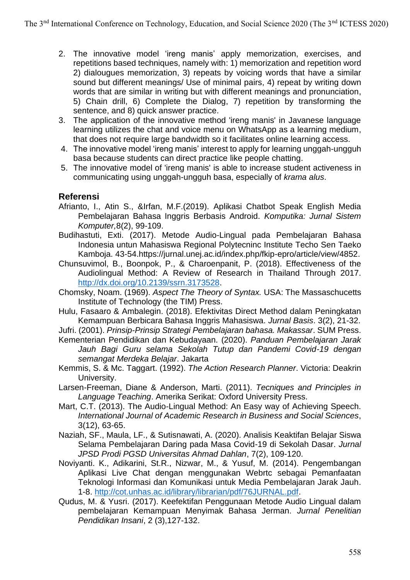- 2. The innovative model 'ireng manis' apply memorization, exercises, and repetitions based techniques, namely with: 1) memorization and repetition word 2) dialougues memorization, 3) repeats by voicing words that have a similar sound but different meanings/ Use of minimal pairs, 4) repeat by writing down words that are similar in writing but with different meanings and pronunciation, 5) Chain drill, 6) Complete the Dialog, 7) repetition by transforming the sentence, and 8) quick answer practice.
- 3. The application of the innovative method 'ireng manis' in Javanese language learning utilizes the chat and voice menu on WhatsApp as a learning medium, that does not require large bandwidth so it facilitates online learning access.
- 4. The innovative model 'ireng manis' interest to apply for learning unggah-ungguh basa because students can direct practice like people chatting.
- 5. The innovative model of 'ireng manis' is able to increase student activeness in communicating using unggah-ungguh basa, especially of *krama alus*.

# **Referensi**

- Afrianto, I., Atin S., &Irfan, M.F.(2019). Aplikasi Chatbot Speak English Media Pembelajaran Bahasa Inggris Berbasis Android. *Komputika: Jurnal Sistem Komputer,*8(2), 99-109.
- Budihastuti, Exti. (2017). Metode Audio-Lingual pada Pembelajaran Bahasa Indonesia untun Mahasiswa Regional Polytecninc Institute Techo Sen Taeko Kamboja. 43-54.https://jurnal.unej.ac.id/index.php/fkip-epro/article/view/4852.
- Chunsuvimol, B., Boonpok, P., & Charoenpanit, P. (2018). Effectiveness of the Audiolingual Method: A Review of Research in Thailand Through 2017. [http://dx.doi.org/10.2139/ssrn.3173528.](http://dx.doi.org/10.2139/ssrn.3173528)
- Chomsky, Noam. (1969). *Aspect The Theory of Syntax.* USA: The Massaschucetts Institute of Technology (the TIM) Press.
- Hulu, Fasaaro & Ambalegin. (2018). Efektivitas Direct Method dalam Peningkatan Kemampuan Berbicara Bahasa Inggris Mahasiswa. *Jurnal Basis*. 3(2), 21-32.
- Jufri. (2001). *Prinsip-Prinsip Strategi Pembelajaran bahasa. Makassar*. SUM Press.
- Kementerian Pendidikan dan Kebudayaan. (2020). *Panduan Pembelajaran Jarak Jauh Bagi Guru selama Sekolah Tutup dan Pandemi Covid-19 dengan semangat Merdeka Belajar*. Jakarta
- Kemmis, S. & Mc. Taggart. (1992). *The Action Research Planner*. Victoria: Deakrin University.
- Larsen-Freeman, Diane & Anderson, Marti. (2011). *Tecniques and Principles in Language Teaching*. Amerika Serikat: Oxford University Press.
- Mart, C.T. (2013). The Audio-Lingual Method: An Easy way of Achieving Speech. *International Journal of Academic Research in Business and Social Sciences*, 3(12), 63-65.
- Naziah, SF., Maula, LF., & Sutisnawati, A. (2020). Analisis Keaktifan Belajar Siswa Selama Pembelajaran Daring pada Masa Covid-19 di Sekolah Dasar. *Jurnal JPSD Prodi PGSD Universitas Ahmad Dahlan*, 7(2), 109-120.
- Noviyanti. K., Adikarini, St.R., Nizwar, M., & Yusuf, M. (2014). Pengembangan Aplikasi Live Chat dengan menggunakan Webrtc sebagai Pemanfaatan Teknologi Informasi dan Komunikasi untuk Media Pembelajaran Jarak Jauh. 1-8. [http://cot.unhas.ac.id/library/librarian/pdf/76JURNAL.pdf.](http://cot.unhas.ac.id/library/librarian/pdf/76JURNAL.pdf)
- Qudus, M. & Yusri. (2017). Keefektifan Penggunaan Metode Audio Lingual dalam pembelajaran Kemampuan Menyimak Bahasa Jerman. *Jurnal Penelitian Pendidikan Insani*, 2 (3),127-132.